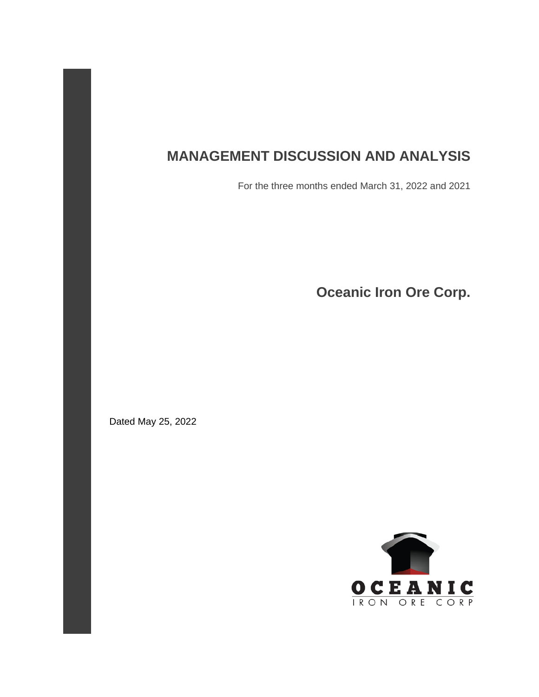# **MANAGEMENT DISCUSSION AND ANALYSIS**

For the three months ended March 31, 2022 and 2021

**Oceanic Iron Ore Corp.**

Dated May 25, 2022

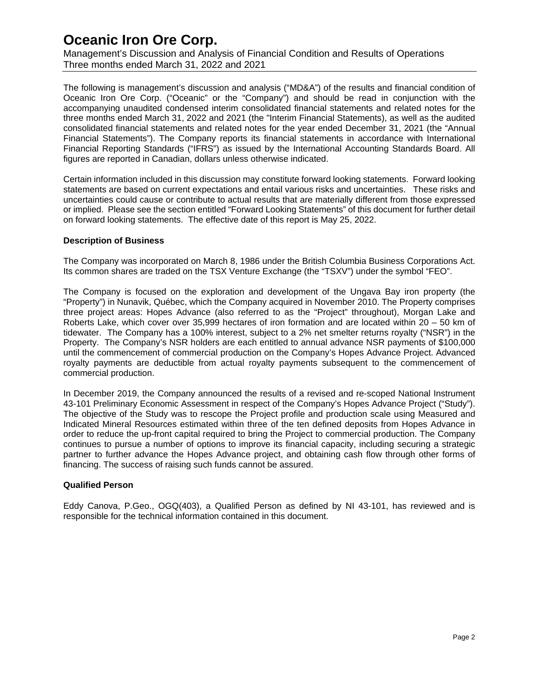Management's Discussion and Analysis of Financial Condition and Results of Operations Three months ended March 31, 2022 and 2021

The following is management's discussion and analysis ("MD&A") of the results and financial condition of Oceanic Iron Ore Corp. ("Oceanic" or the "Company") and should be read in conjunction with the accompanying unaudited condensed interim consolidated financial statements and related notes for the three months ended March 31, 2022 and 2021 (the "Interim Financial Statements), as well as the audited consolidated financial statements and related notes for the year ended December 31, 2021 (the "Annual Financial Statements"). The Company reports its financial statements in accordance with International Financial Reporting Standards ("IFRS") as issued by the International Accounting Standards Board. All figures are reported in Canadian, dollars unless otherwise indicated.

Certain information included in this discussion may constitute forward looking statements. Forward looking statements are based on current expectations and entail various risks and uncertainties. These risks and uncertainties could cause or contribute to actual results that are materially different from those expressed or implied. Please see the section entitled "Forward Looking Statements" of this document for further detail on forward looking statements. The effective date of this report is May 25, 2022.

#### **Description of Business**

The Company was incorporated on March 8, 1986 under the British Columbia Business Corporations Act. Its common shares are traded on the TSX Venture Exchange (the "TSXV") under the symbol "FEO".

The Company is focused on the exploration and development of the Ungava Bay iron property (the "Property") in Nunavik, Québec, which the Company acquired in November 2010. The Property comprises three project areas: Hopes Advance (also referred to as the "Project" throughout), Morgan Lake and Roberts Lake, which cover over 35,999 hectares of iron formation and are located within 20 – 50 km of tidewater. The Company has a 100% interest, subject to a 2% net smelter returns royalty ("NSR") in the Property. The Company's NSR holders are each entitled to annual advance NSR payments of \$100,000 until the commencement of commercial production on the Company's Hopes Advance Project. Advanced royalty payments are deductible from actual royalty payments subsequent to the commencement of commercial production.

In December 2019, the Company announced the results of a revised and re-scoped National Instrument 43-101 Preliminary Economic Assessment in respect of the Company's Hopes Advance Project ("Study"). The objective of the Study was to rescope the Project profile and production scale using Measured and Indicated Mineral Resources estimated within three of the ten defined deposits from Hopes Advance in order to reduce the up-front capital required to bring the Project to commercial production. The Company continues to pursue a number of options to improve its financial capacity, including securing a strategic partner to further advance the Hopes Advance project, and obtaining cash flow through other forms of financing. The success of raising such funds cannot be assured.

### **Qualified Person**

Eddy Canova, P.Geo., OGQ(403), a Qualified Person as defined by NI 43-101, has reviewed and is responsible for the technical information contained in this document.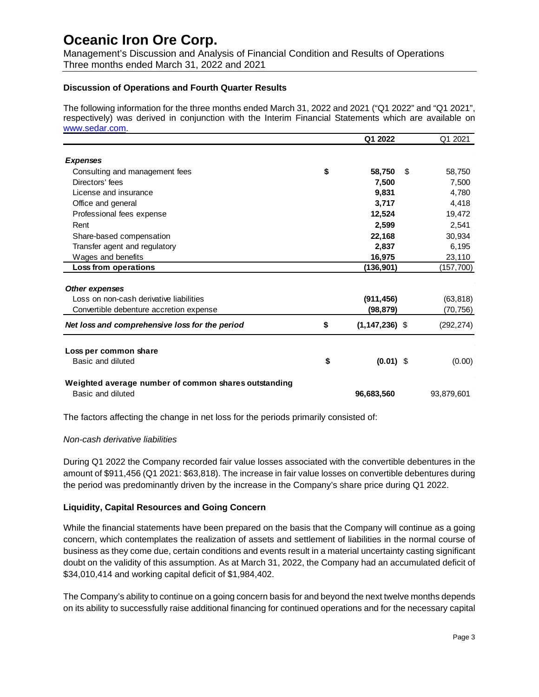Management's Discussion and Analysis of Financial Condition and Results of Operations Three months ended March 31, 2022 and 2021

### **Discussion of Operations and Fourth Quarter Results**

The following information for the three months ended March 31, 2022 and 2021 ("Q1 2022" and "Q1 2021", respectively) was derived in conjunction with the Interim Financial Statements which are available on [www.sedar.com.](http://www.sedar.com/)

|                                                      | Q1 2022                  |     | Q1 2021    |
|------------------------------------------------------|--------------------------|-----|------------|
|                                                      |                          |     |            |
| <b>Expenses</b>                                      |                          |     |            |
| Consulting and management fees                       | \$<br>58,750             | -\$ | 58,750     |
| Directors' fees                                      | 7,500                    |     | 7,500      |
| License and insurance                                | 9,831                    |     | 4,780      |
| Office and general                                   | 3,717                    |     | 4,418      |
| Professional fees expense                            | 12,524                   |     | 19,472     |
| Rent                                                 | 2,599                    |     | 2,541      |
| Share-based compensation                             | 22,168                   |     | 30,934     |
| Transfer agent and regulatory                        | 2,837                    |     | 6,195      |
| Wages and benefits                                   | 16,975                   |     | 23,110     |
| Loss from operations                                 | (136,901)                |     | (157, 700) |
|                                                      |                          |     |            |
| <b>Other expenses</b>                                |                          |     |            |
| Loss on non-cash derivative liabilities              | (911, 456)               |     | (63, 818)  |
| Convertible debenture accretion expense              | (98,879)                 |     | (70,756)   |
| Net loss and comprehensive loss for the period       | \$<br>$(1, 147, 236)$ \$ |     | (292, 274) |
| Loss per common share                                |                          |     |            |
| Basic and diluted                                    | \$<br>$(0.01)$ \$        |     | (0.00)     |
|                                                      |                          |     |            |
| Weighted average number of common shares outstanding |                          |     |            |
| Basic and diluted                                    | 96,683,560               |     | 93,879,601 |
|                                                      |                          |     |            |

The factors affecting the change in net loss for the periods primarily consisted of:

### *Non-cash derivative liabilities*

During Q1 2022 the Company recorded fair value losses associated with the convertible debentures in the amount of \$911,456 (Q1 2021: \$63,818). The increase in fair value losses on convertible debentures during the period was predominantly driven by the increase in the Company's share price during Q1 2022.

### **Liquidity, Capital Resources and Going Concern**

While the financial statements have been prepared on the basis that the Company will continue as a going concern, which contemplates the realization of assets and settlement of liabilities in the normal course of business as they come due, certain conditions and events result in a material uncertainty casting significant doubt on the validity of this assumption. As at March 31, 2022, the Company had an accumulated deficit of \$34,010,414 and working capital deficit of \$1,984,402.

The Company's ability to continue on a going concern basis for and beyond the next twelve months depends on its ability to successfully raise additional financing for continued operations and for the necessary capital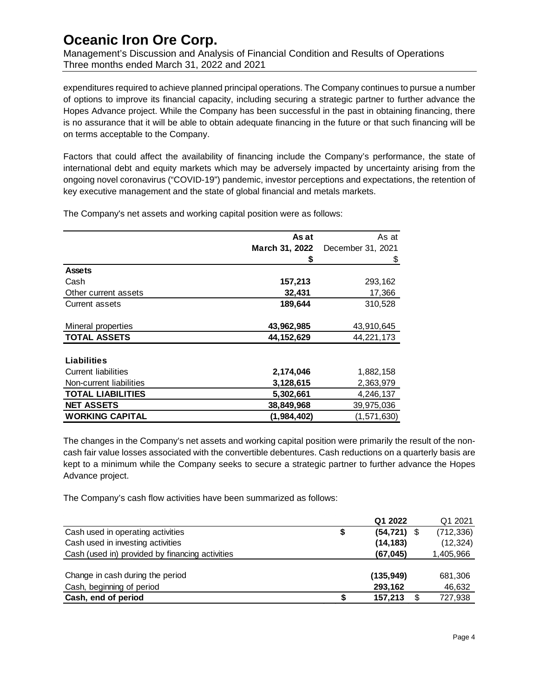Management's Discussion and Analysis of Financial Condition and Results of Operations Three months ended March 31, 2022 and 2021

expenditures required to achieve planned principal operations. The Company continues to pursue a number of options to improve its financial capacity, including securing a strategic partner to further advance the Hopes Advance project. While the Company has been successful in the past in obtaining financing, there is no assurance that it will be able to obtain adequate financing in the future or that such financing will be on terms acceptable to the Company.

Factors that could affect the availability of financing include the Company's performance, the state of international debt and equity markets which may be adversely impacted by uncertainty arising from the ongoing novel coronavirus ("COVID-19") pandemic, investor perceptions and expectations, the retention of key executive management and the state of global financial and metals markets.

The Company's net assets and working capital position were as follows:

|                            | As at          | As at             |
|----------------------------|----------------|-------------------|
|                            | March 31, 2022 | December 31, 2021 |
|                            | \$             | \$                |
| <b>Assets</b>              |                |                   |
| Cash                       | 157,213        | 293,162           |
| Other current assets       | 32,431         | 17,366            |
| Current assets             | 189,644        | 310,528           |
| Mineral properties         | 43,962,985     | 43,910,645        |
| <b>TOTAL ASSETS</b>        | 44, 152, 629   | 44,221,173        |
| Liabilities                |                |                   |
| <b>Current liabilities</b> | 2,174,046      | 1,882,158         |
| Non-current liabilities    | 3,128,615      | 2,363,979         |
| <b>TOTAL LIABILITIES</b>   | 5,302,661      | 4,246,137         |
| <b>NET ASSETS</b>          | 38,849,968     | 39,975,036        |
| <b>WORKING CAPITAL</b>     | (1,984,402)    | (1,571,630)       |

The changes in the Company's net assets and working capital position were primarily the result of the noncash fair value losses associated with the convertible debentures. Cash reductions on a quarterly basis are kept to a minimum while the Company seeks to secure a strategic partner to further advance the Hopes Advance project.

The Company's cash flow activities have been summarized as follows:

|                                                 |   | Q1 2022        | Q1 2021       |
|-------------------------------------------------|---|----------------|---------------|
| Cash used in operating activities               | 5 | $(54, 721)$ \$ | (712, 336)    |
| Cash used in investing activities               |   | (14, 183)      | (12, 324)     |
| Cash (used in) provided by financing activities |   | (67, 045)      | 1,405,966     |
|                                                 |   |                |               |
| Change in cash during the period                |   | (135, 949)     | 681,306       |
| Cash, beginning of period                       |   | 293,162        | 46,632        |
| Cash, end of period                             |   | 157.213        | \$<br>727,938 |
|                                                 |   |                |               |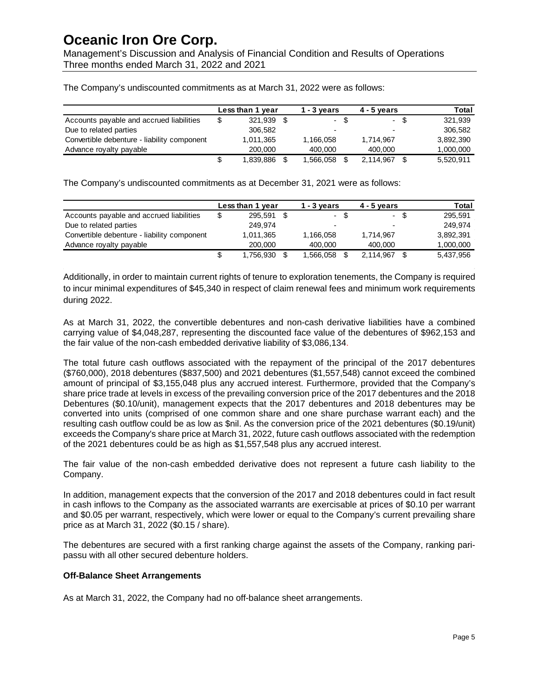Management's Discussion and Analysis of Financial Condition and Results of Operations Three months ended March 31, 2022 and 2021

|                                             |    | Less than 1 year | $1 - 3$ vears            |      | $4 - 5$ vears |      | Total     |
|---------------------------------------------|----|------------------|--------------------------|------|---------------|------|-----------|
| Accounts payable and accrued liabilities    | \$ | 321.939          |                          | - \$ |               | - \$ | 321.939   |
| Due to related parties                      |    | 306.582          | $\overline{\phantom{0}}$ |      |               |      | 306.582   |
| Convertible debenture - liability component |    | 1.011.365        | 1.166.058                |      | 1.714.967     |      | 3,892,390 |
| Advance royalty payable                     |    | 200,000          | 400,000                  |      | 400,000       |      | 1,000,000 |
|                                             | S  | 1.839.886        | 1.566.058                |      | 2.114.967     |      | 5.520.911 |

The Company's undiscounted commitments as at March 31, 2022 were as follows:

The Company's undiscounted commitments as at December 31, 2021 were as follows:

|                                             | Less than 1 year | $1 - 3$ years |      | $4 - 5$ vears |      | Total     |
|---------------------------------------------|------------------|---------------|------|---------------|------|-----------|
| Accounts payable and accrued liabilities    | \$<br>295.591    |               | - \$ | $\sim$        | - \$ | 295.591   |
| Due to related parties                      | 249.974          | -             |      |               |      | 249.974   |
| Convertible debenture - liability component | 1,011,365        | 1.166.058     |      | 1.714.967     |      | 3,892,391 |
| Advance royalty payable                     | 200,000          | 400.000       |      | 400,000       |      | 1,000,000 |
|                                             | \$<br>1.756.930  | 1.566.058     |      | 2.114.967     |      | 5,437,956 |

Additionally, in order to maintain current rights of tenure to exploration tenements, the Company is required to incur minimal expenditures of \$45,340 in respect of claim renewal fees and minimum work requirements during 2022.

As at March 31, 2022, the convertible debentures and non-cash derivative liabilities have a combined carrying value of \$4,048,287, representing the discounted face value of the debentures of \$962,153 and the fair value of the non-cash embedded derivative liability of \$3,086,134.

The total future cash outflows associated with the repayment of the principal of the 2017 debentures (\$760,000), 2018 debentures (\$837,500) and 2021 debentures (\$1,557,548) cannot exceed the combined amount of principal of \$3,155,048 plus any accrued interest. Furthermore, provided that the Company's share price trade at levels in excess of the prevailing conversion price of the 2017 debentures and the 2018 Debentures (\$0.10/unit), management expects that the 2017 debentures and 2018 debentures may be converted into units (comprised of one common share and one share purchase warrant each) and the resulting cash outflow could be as low as \$nil. As the conversion price of the 2021 debentures (\$0.19/unit) exceeds the Company's share price at March 31, 2022, future cash outflows associated with the redemption of the 2021 debentures could be as high as \$1,557,548 plus any accrued interest.

The fair value of the non-cash embedded derivative does not represent a future cash liability to the Company.

In addition, management expects that the conversion of the 2017 and 2018 debentures could in fact result in cash inflows to the Company as the associated warrants are exercisable at prices of \$0.10 per warrant and \$0.05 per warrant, respectively, which were lower or equal to the Company's current prevailing share price as at March 31, 2022 (\$0.15 / share).

The debentures are secured with a first ranking charge against the assets of the Company, ranking paripassu with all other secured debenture holders.

### **Off-Balance Sheet Arrangements**

As at March 31, 2022, the Company had no off-balance sheet arrangements.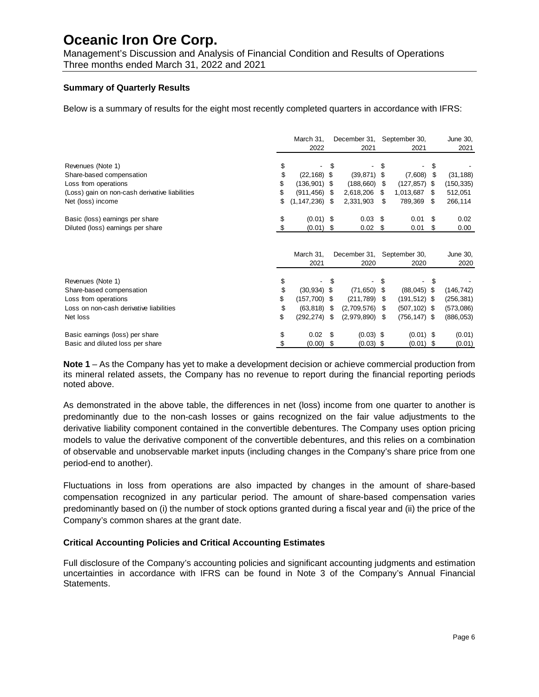Management's Discussion and Analysis of Financial Condition and Results of Operations Three months ended March 31, 2022 and 2021

### **Summary of Quarterly Results**

Below is a summary of results for the eight most recently completed quarters in accordance with IFRS:

|                                                | March 31,<br>2022        |      | December 31, September 30,<br>2021 |      | 2021            |      | June 30,<br>2021 |
|------------------------------------------------|--------------------------|------|------------------------------------|------|-----------------|------|------------------|
|                                                |                          |      |                                    |      |                 |      |                  |
| Revenues (Note 1)                              | \$                       | S    |                                    |      |                 | \$   |                  |
| Share-based compensation                       | \$<br>$(22, 168)$ \$     |      | (39, 871)                          | \$   | (7,608)         | \$   | (31, 188)        |
| Loss from operations                           | \$<br>$(136,901)$ \$     |      | (188,660)                          | -\$  | $(127, 857)$ \$ |      | (150, 335)       |
| (Loss) gain on non-cash derivative liabilities | \$<br>(911, 456)         | - \$ | 2,618,206                          | \$   | 1,013,687       | S    | 512,051          |
| Net (loss) income                              | \$<br>$(1, 147, 236)$ \$ |      | 2,331,903                          | \$   | 789,369         | - \$ | 266,114          |
| Basic (loss) earnings per share                | \$<br>$(0.01)$ \$        |      | 0.03                               | -\$  | 0.01            | S    | 0.02             |
| Diluted (loss) earnings per share              | (0.01)                   | \$   | 0.02                               | - \$ | 0.01            | S    | 0.00             |
|                                                |                          |      |                                    |      |                 |      |                  |
|                                                | March 31,                |      | December 31, September 30,         |      |                 |      | June 30,         |
|                                                | 2021                     |      | 2020                               |      | 2020            |      | 2020             |
| Revenues (Note 1)                              |                          |      |                                    |      |                 | \$   |                  |
| Share-based compensation                       | \$<br>$(30, 934)$ \$     |      | (71, 650)                          |      | $(88,045)$ \$   |      | (146, 742)       |
| Loss from operations                           | \$<br>$(157,700)$ \$     |      | (211, 789)                         | S    | $(191, 512)$ \$ |      | (256, 381)       |
| Loss on non-cash derivative liabilities        | \$<br>$(63, 818)$ \$     |      | (2,709,576)                        | S    | $(507, 102)$ \$ |      | (573,086)        |
| Net loss                                       | \$<br>(292, 274)         | \$   | (2,979,890)                        | \$   | $(756, 147)$ \$ |      | (886, 053)       |
| Basic earnings (loss) per share                | \$<br>0.02               | \$.  | $(0.03)$ \$                        |      | $(0.01)$ \$     |      | (0.01)           |
| Basic and diluted loss per share               | \$<br>(0.00)             | S    | $(0.03)$ \$                        |      | $(0.01)$ \$     |      | (0.01)           |

**Note 1** – As the Company has yet to make a development decision or achieve commercial production from its mineral related assets, the Company has no revenue to report during the financial reporting periods noted above.

As demonstrated in the above table, the differences in net (loss) income from one quarter to another is predominantly due to the non-cash losses or gains recognized on the fair value adjustments to the derivative liability component contained in the convertible debentures. The Company uses option pricing models to value the derivative component of the convertible debentures, and this relies on a combination of observable and unobservable market inputs (including changes in the Company's share price from one period-end to another).

Fluctuations in loss from operations are also impacted by changes in the amount of share-based compensation recognized in any particular period. The amount of share-based compensation varies predominantly based on (i) the number of stock options granted during a fiscal year and (ii) the price of the Company's common shares at the grant date.

### **Critical Accounting Policies and Critical Accounting Estimates**

Full disclosure of the Company's accounting policies and significant accounting judgments and estimation uncertainties in accordance with IFRS can be found in Note 3 of the Company's Annual Financial Statements.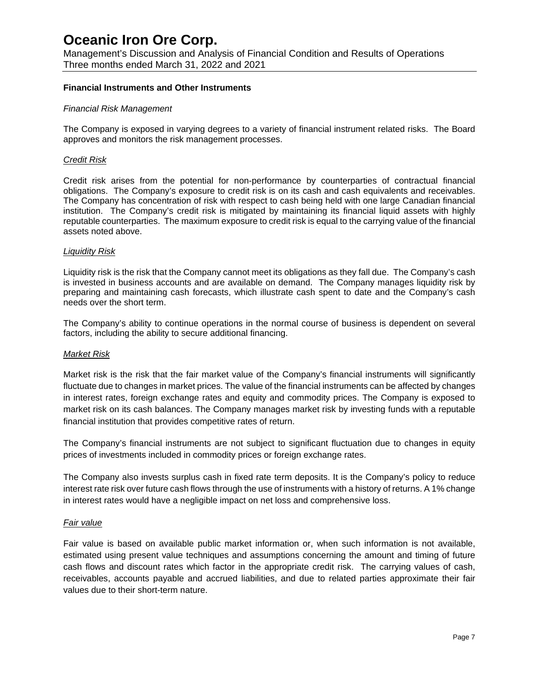Management's Discussion and Analysis of Financial Condition and Results of Operations Three months ended March 31, 2022 and 2021

### **Financial Instruments and Other Instruments**

#### *Financial Risk Management*

The Company is exposed in varying degrees to a variety of financial instrument related risks. The Board approves and monitors the risk management processes.

#### *Credit Risk*

Credit risk arises from the potential for non-performance by counterparties of contractual financial obligations. The Company's exposure to credit risk is on its cash and cash equivalents and receivables. The Company has concentration of risk with respect to cash being held with one large Canadian financial institution. The Company's credit risk is mitigated by maintaining its financial liquid assets with highly reputable counterparties. The maximum exposure to credit risk is equal to the carrying value of the financial assets noted above.

#### *Liquidity Risk*

Liquidity risk is the risk that the Company cannot meet its obligations as they fall due. The Company's cash is invested in business accounts and are available on demand. The Company manages liquidity risk by preparing and maintaining cash forecasts, which illustrate cash spent to date and the Company's cash needs over the short term.

The Company's ability to continue operations in the normal course of business is dependent on several factors, including the ability to secure additional financing.

#### *Market Risk*

Market risk is the risk that the fair market value of the Company's financial instruments will significantly fluctuate due to changes in market prices. The value of the financial instruments can be affected by changes in interest rates, foreign exchange rates and equity and commodity prices. The Company is exposed to market risk on its cash balances. The Company manages market risk by investing funds with a reputable financial institution that provides competitive rates of return.

The Company's financial instruments are not subject to significant fluctuation due to changes in equity prices of investments included in commodity prices or foreign exchange rates.

The Company also invests surplus cash in fixed rate term deposits. It is the Company's policy to reduce interest rate risk over future cash flows through the use of instruments with a history of returns. A 1% change in interest rates would have a negligible impact on net loss and comprehensive loss.

#### *Fair value*

Fair value is based on available public market information or, when such information is not available, estimated using present value techniques and assumptions concerning the amount and timing of future cash flows and discount rates which factor in the appropriate credit risk. The carrying values of cash, receivables, accounts payable and accrued liabilities, and due to related parties approximate their fair values due to their short-term nature.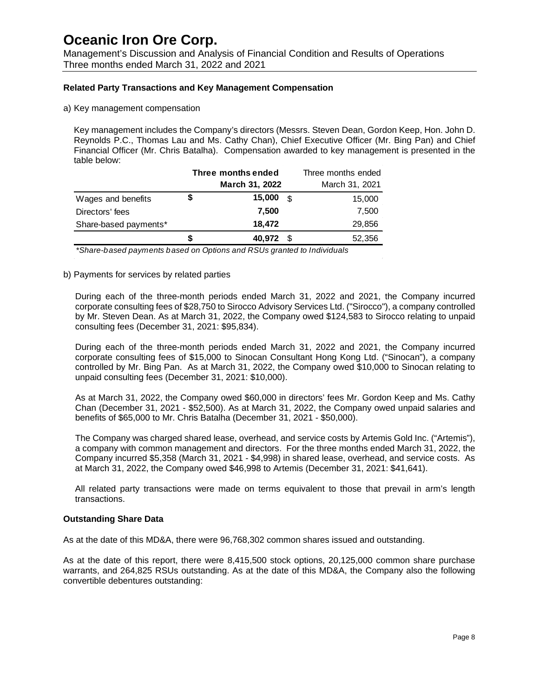Management's Discussion and Analysis of Financial Condition and Results of Operations Three months ended March 31, 2022 and 2021

### **Related Party Transactions and Key Management Compensation**

a) Key management compensation

Key management includes the Company's directors (Messrs. Steven Dean, Gordon Keep, Hon. John D. Reynolds P.C., Thomas Lau and Ms. Cathy Chan), Chief Executive Officer (Mr. Bing Pan) and Chief Financial Officer (Mr. Chris Batalha). Compensation awarded to key management is presented in the table below:

|                       |    | Three months ended | Three months ended |                |  |  |
|-----------------------|----|--------------------|--------------------|----------------|--|--|
|                       |    | March 31, 2022     |                    | March 31, 2021 |  |  |
| Wages and benefits    | \$ | 15,000             | \$                 | 15,000         |  |  |
| Directors' fees       |    | 7,500              |                    | 7,500          |  |  |
| Share-based payments* |    | 18,472             |                    | 29,856         |  |  |
|                       | S  | 40,972             | - \$               | 52,356         |  |  |

*\*Share-based payments based on Options and RSUs granted to Individuals*

#### b) Payments for services by related parties

During each of the three-month periods ended March 31, 2022 and 2021, the Company incurred corporate consulting fees of \$28,750 to Sirocco Advisory Services Ltd. ("Sirocco"), a company controlled by Mr. Steven Dean. As at March 31, 2022, the Company owed \$124,583 to Sirocco relating to unpaid consulting fees (December 31, 2021: \$95,834).

During each of the three-month periods ended March 31, 2022 and 2021, the Company incurred corporate consulting fees of \$15,000 to Sinocan Consultant Hong Kong Ltd. ("Sinocan"), a company controlled by Mr. Bing Pan. As at March 31, 2022, the Company owed \$10,000 to Sinocan relating to unpaid consulting fees (December 31, 2021: \$10,000).

As at March 31, 2022, the Company owed \$60,000 in directors' fees Mr. Gordon Keep and Ms. Cathy Chan (December 31, 2021 - \$52,500). As at March 31, 2022, the Company owed unpaid salaries and benefits of \$65,000 to Mr. Chris Batalha (December 31, 2021 - \$50,000).

The Company was charged shared lease, overhead, and service costs by Artemis Gold Inc. ("Artemis"), a company with common management and directors. For the three months ended March 31, 2022, the Company incurred \$5,358 (March 31, 2021 - \$4,998) in shared lease, overhead, and service costs. As at March 31, 2022, the Company owed \$46,998 to Artemis (December 31, 2021: \$41,641).

All related party transactions were made on terms equivalent to those that prevail in arm's length transactions.

#### **Outstanding Share Data**

As at the date of this MD&A, there were 96,768,302 common shares issued and outstanding.

As at the date of this report, there were 8,415,500 stock options, 20,125,000 common share purchase warrants, and 264,825 RSUs outstanding. As at the date of this MD&A, the Company also the following convertible debentures outstanding: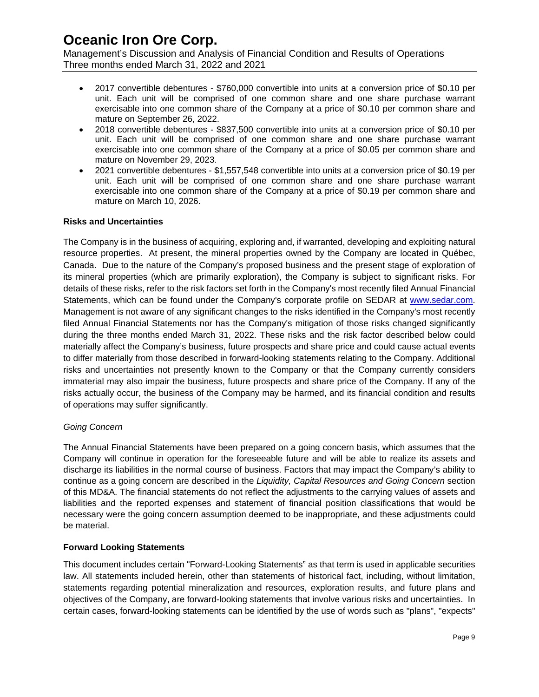Management's Discussion and Analysis of Financial Condition and Results of Operations Three months ended March 31, 2022 and 2021

- 2017 convertible debentures \$760,000 convertible into units at a conversion price of \$0.10 per unit. Each unit will be comprised of one common share and one share purchase warrant exercisable into one common share of the Company at a price of \$0.10 per common share and mature on September 26, 2022.
- 2018 convertible debentures \$837,500 convertible into units at a conversion price of \$0.10 per unit. Each unit will be comprised of one common share and one share purchase warrant exercisable into one common share of the Company at a price of \$0.05 per common share and mature on November 29, 2023.
- 2021 convertible debentures \$1,557,548 convertible into units at a conversion price of \$0.19 per unit. Each unit will be comprised of one common share and one share purchase warrant exercisable into one common share of the Company at a price of \$0.19 per common share and mature on March 10, 2026.

### **Risks and Uncertainties**

The Company is in the business of acquiring, exploring and, if warranted, developing and exploiting natural resource properties. At present, the mineral properties owned by the Company are located in Québec, Canada. Due to the nature of the Company's proposed business and the present stage of exploration of its mineral properties (which are primarily exploration), the Company is subject to significant risks. For details of these risks, refer to the risk factors set forth in the Company's most recently filed Annual Financial Statements, which can be found under the Company's corporate profile on SEDAR at [www.sedar.com.](http://www.sedar.com/) Management is not aware of any significant changes to the risks identified in the Company's most recently filed Annual Financial Statements nor has the Company's mitigation of those risks changed significantly during the three months ended March 31, 2022. These risks and the risk factor described below could materially affect the Company's business, future prospects and share price and could cause actual events to differ materially from those described in forward-looking statements relating to the Company. Additional risks and uncertainties not presently known to the Company or that the Company currently considers immaterial may also impair the business, future prospects and share price of the Company. If any of the risks actually occur, the business of the Company may be harmed, and its financial condition and results of operations may suffer significantly.

### *Going Concern*

The Annual Financial Statements have been prepared on a going concern basis, which assumes that the Company will continue in operation for the foreseeable future and will be able to realize its assets and discharge its liabilities in the normal course of business. Factors that may impact the Company's ability to continue as a going concern are described in the *Liquidity, Capital Resources and Going Concern* section of this MD&A. The financial statements do not reflect the adjustments to the carrying values of assets and liabilities and the reported expenses and statement of financial position classifications that would be necessary were the going concern assumption deemed to be inappropriate, and these adjustments could be material.

## **Forward Looking Statements**

This document includes certain "Forward-Looking Statements" as that term is used in applicable securities law. All statements included herein, other than statements of historical fact, including, without limitation, statements regarding potential mineralization and resources, exploration results, and future plans and objectives of the Company, are forward-looking statements that involve various risks and uncertainties. In certain cases, forward-looking statements can be identified by the use of words such as "plans", "expects"